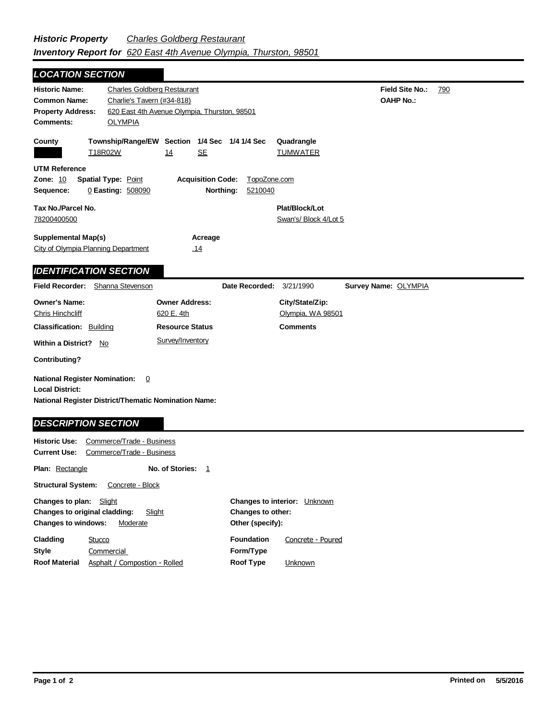| <b>LOCATION SECTION</b>                                     |                                    |                                                                  |                |                               |                      |     |
|-------------------------------------------------------------|------------------------------------|------------------------------------------------------------------|----------------|-------------------------------|----------------------|-----|
| <b>Historic Name:</b>                                       | <b>Charles Goldberg Restaurant</b> |                                                                  |                |                               | Field Site No.:      | 790 |
| <b>Common Name:</b>                                         | Charlie's Tavern (#34-818)         |                                                                  |                |                               | <b>OAHP No.:</b>     |     |
| <b>Property Address:</b>                                    |                                    | 620 East 4th Avenue Olympia, Thurston, 98501                     |                |                               |                      |     |
| Comments:                                                   | <b>OLYMPIA</b>                     |                                                                  |                |                               |                      |     |
| County                                                      | T18R02W                            | Township/Range/EW Section 1/4 Sec 1/4 1/4 Sec<br><b>SE</b><br>14 |                | Quadrangle<br><b>TUMWATER</b> |                      |     |
| <b>UTM Reference</b>                                        |                                    |                                                                  |                |                               |                      |     |
| <b>Zone: 10</b>                                             | <b>Spatial Type: Point</b>         | <b>Acquisition Code:</b>                                         | TopoZone.com   |                               |                      |     |
| Sequence:                                                   | 0 Easting: 508090                  | Northing:                                                        | 5210040        |                               |                      |     |
| Tax No./Parcel No.                                          |                                    |                                                                  |                | Plat/Block/Lot                |                      |     |
| 78200400500                                                 |                                    |                                                                  |                | Swan's/ Block 4/Lot 5         |                      |     |
|                                                             |                                    |                                                                  |                |                               |                      |     |
| <b>Supplemental Map(s)</b>                                  |                                    | Acreage                                                          |                |                               |                      |     |
| City of Olympia Planning Department                         |                                    | .14                                                              |                |                               |                      |     |
|                                                             |                                    |                                                                  |                |                               |                      |     |
| <b>IDENTIFICATION SECTION</b>                               |                                    |                                                                  |                |                               |                      |     |
| Field Recorder: Shanna Stevenson                            |                                    |                                                                  | Date Recorded: | 3/21/1990                     | Survey Name: OLYMPIA |     |
| <b>Owner's Name:</b>                                        |                                    | <b>Owner Address:</b>                                            |                | City/State/Zip:               |                      |     |
| Chris Hinchcliff                                            |                                    | 620 E. 4th                                                       |                | Olympia, WA 98501             |                      |     |
| <b>Classification: Building</b>                             |                                    | <b>Resource Status</b>                                           |                | <b>Comments</b>               |                      |     |
| <b>Within a District?</b><br>No                             |                                    | Survey/Inventory                                                 |                |                               |                      |     |
| <b>Contributing?</b>                                        |                                    |                                                                  |                |                               |                      |     |
| <b>National Register Nomination:</b>                        | 0                                  |                                                                  |                |                               |                      |     |
| <b>Local District:</b>                                      |                                    |                                                                  |                |                               |                      |     |
| <b>National Register District/Thematic Nomination Name:</b> |                                    |                                                                  |                |                               |                      |     |
|                                                             |                                    |                                                                  |                |                               |                      |     |
|                                                             |                                    |                                                                  |                |                               |                      |     |
| <b>DESCRIPTION SECTION</b>                                  |                                    |                                                                  |                |                               |                      |     |
| <b>Historic Use:</b>                                        | Commerce/Trade - Business          |                                                                  |                |                               |                      |     |

**Plan:** Rectangle **No. of Stories:** 1

Structural System: Concrete - Block

| <b>Changes to plan:</b> Slight |                                                |                   | <b>Changes to interior:</b> Unknown |
|--------------------------------|------------------------------------------------|-------------------|-------------------------------------|
|                                | <b>Changes to original cladding:</b><br>Slight | Changes to other: |                                     |
| <b>Changes to windows:</b>     | Moderate                                       | Other (specify):  |                                     |
| Cladding                       | Stucco                                         | <b>Foundation</b> | Concrete - Poured                   |
| Style                          | Commercial                                     | Form/Type         |                                     |
| <b>Roof Material</b>           | Asphalt / Compostion - Rolled                  | Roof Type         | <b>Unknown</b>                      |